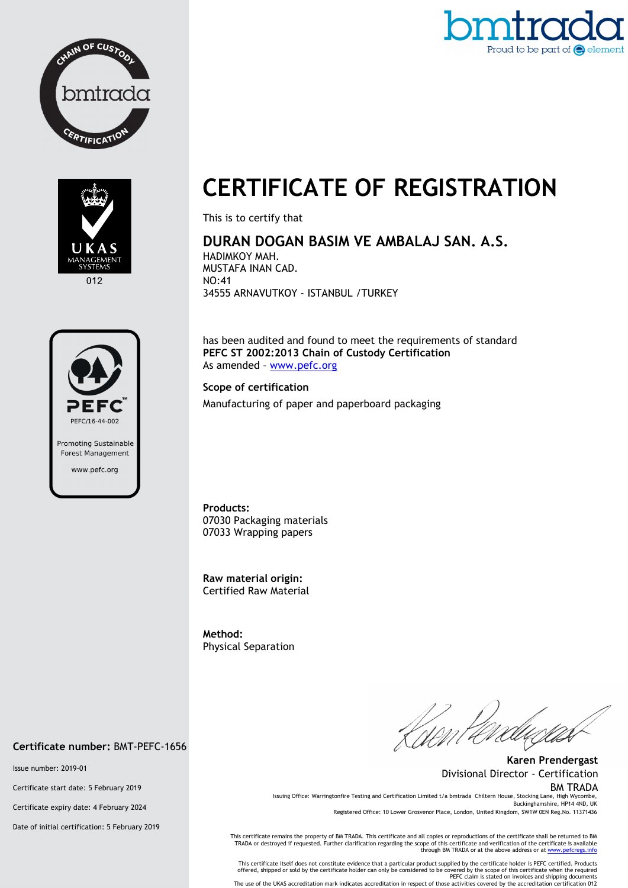





012



## **CERTIFICATE OF REGISTRATION**

This is to certify that

## **DURAN DOGAN BASIM VE AMBALAJ SAN. A.S.**

HADIMKOY MAH. MUSTAFA INAN CAD. NO:41 34555 ARNAVUTKOY - ISTANBUL /TURKEY

has been audited and found to meet the requirements of standard **PEFC ST 2002:2013 Chain of Custody Certification**  As amended – www.pefc.org

## **Scope of certification**

Manufacturing of paper and paperboard packaging

**Products:**  07030 Packaging materials 07033 Wrapping papers

**Raw material origin:** Certified Raw Material

**Method:**  Physical Separation

**Karen Prendergast** Divisional Director - Certification BM TRADA Issuing Office: Warringtonfire Testing and Certification Limited t/a bmtrada Chiltern House, Stocking Lane, High Wycombe,

Buckinghamshire, HP14 4ND, UK Registered Office: 10 Lower Grosvenor Place, London, United Kingdom, SW1W 0EN Reg.No. 11371436

This certificate remains the property of BM TRADA. This certificate and all copies or reproductions of the certificate shall be returned to BM<br>TRADA or destroyed if requested. Further clarification regarding the scope of t

This certificate itself does not constitute evidence that a particular product supplied by the certificate holder is PEFC certified. Products<br>offered, shipped or sold by the certificate holder can only be considered to be The use of the UKAS accreditation mark indicates accreditation in respect of those activities covered by the accreditation certification 012

**Certificate number:** BMT-PEFC-1656

Issue number: 2019-01

Certificate start date: 5 February 2019

Certificate expiry date: 4 February 2024

Date of initial certification: 5 February 2019